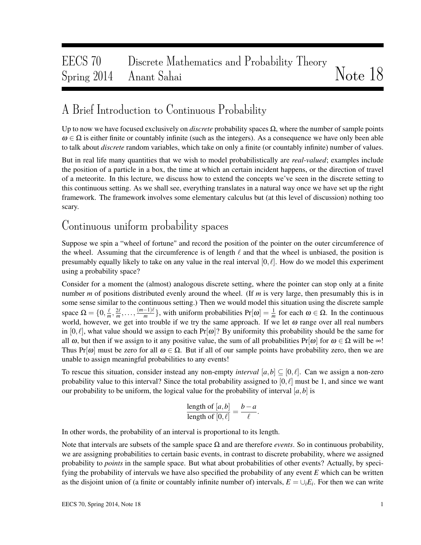# EECS 70 Discrete Mathematics and Probability Theory Spring 2014 Anant Sahai Note 18

## A Brief Introduction to Continuous Probability

Up to now we have focused exclusively on *discrete* probability spaces  $\Omega$ , where the number of sample points  $\omega \in \Omega$  is either finite or countably infinite (such as the integers). As a consequence we have only been able to talk about *discrete* random variables, which take on only a finite (or countably infinite) number of values.

But in real life many quantities that we wish to model probabilistically are *real-valued*; examples include the position of a particle in a box, the time at which an certain incident happens, or the direction of travel of a meteorite. In this lecture, we discuss how to extend the concepts we've seen in the discrete setting to this continuous setting. As we shall see, everything translates in a natural way once we have set up the right framework. The framework involves some elementary calculus but (at this level of discussion) nothing too scary.

## Continuous uniform probability spaces

Suppose we spin a "wheel of fortune" and record the position of the pointer on the outer circumference of the wheel. Assuming that the circumference is of length  $\ell$  and that the wheel is unbiased, the position is presumably equally likely to take on any value in the real interval  $[0, \ell]$ . How do we model this experiment using a probability space?

Consider for a moment the (almost) analogous discrete setting, where the pointer can stop only at a finite number *m* of positions distributed evenly around the wheel. (If *m* is very large, then presumably this is in some sense similar to the continuous setting.) Then we would model this situation using the discrete sample space  $\Omega = \{0, \frac{\ell}{m}\}$  $\frac{\ell}{m}, \frac{2\ell}{m}, \ldots, \frac{(m-1)\ell}{m}$  $\left\{\frac{-1}{m}\right\}$ , with uniform probabilities  $Pr[\omega] = \frac{1}{m}$  for each  $\omega \in \Omega$ . In the continuous world, however, we get into trouble if we try the same approach. If we let  $\omega$  range over all real numbers in  $[0, \ell]$ , what value should we assign to each Pr[ω]? By uniformity this probability should be the same for all  $\omega$ , but then if we assign to it any positive value, the sum of all probabilities Pr[ $\omega$ ] for  $\omega \in \Omega$  will be  $\infty$ ! Thus Pr[ $\omega$ ] must be zero for all  $\omega \in \Omega$ . But if all of our sample points have probability zero, then we are unable to assign meaningful probabilities to any events!

To rescue this situation, consider instead any non-empty *interval*  $[a,b] \subset [0,\ell]$ . Can we assign a non-zero probability value to this interval? Since the total probability assigned to  $[0, \ell]$  must be 1, and since we want our probability to be uniform, the logical value for the probability of interval  $[a, b]$  is

length of 
$$
[a,b]
$$
 =  $\frac{b-a}{\ell}$ .  
length of  $[0,\ell]$  =  $\frac{b-a}{\ell}$ .

In other words, the probability of an interval is proportional to its length.

Note that intervals are subsets of the sample space  $\Omega$  and are therefore *events*. So in continuous probability, we are assigning probabilities to certain basic events, in contrast to discrete probability, where we assigned probability to *points* in the sample space. But what about probabilities of other events? Actually, by specifying the probability of intervals we have also specified the probability of any event *E* which can be written as the disjoint union of (a finite or countably infinite number of) intervals,  $E = \bigcup_i E_i$ . For then we can write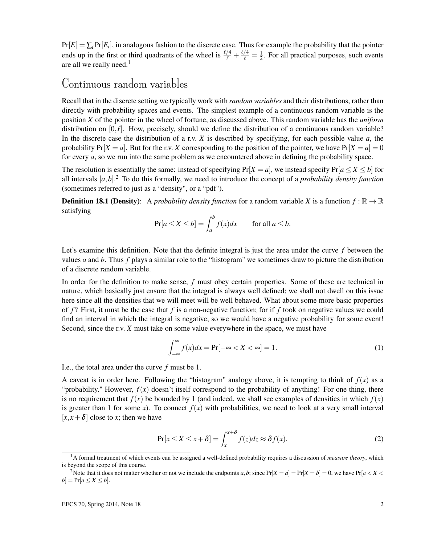$Pr[E] = \sum_i Pr[E_i]$ , in analogous fashion to the discrete case. Thus for example the probability that the pointer ends up in the first or third quadrants of the wheel is  $\frac{\ell/4}{\ell} + \frac{\ell/4}{\ell} = \frac{1}{2}$  $\frac{1}{2}$ . For all practical purposes, such events are all we really need.<sup>1</sup>

#### Continuous random variables

Recall that in the discrete setting we typically work with *random variables* and their distributions, rather than directly with probability spaces and events. The simplest example of a continuous random variable is the position *X* of the pointer in the wheel of fortune, as discussed above. This random variable has the *uniform* distribution on  $[0, \ell]$ . How, precisely, should we define the distribution of a continuous random variable? In the discrete case the distribution of a r.v. *X* is described by specifying, for each possible value *a*, the probability  $Pr[X = a]$ . But for the r.v. *X* corresponding to the position of the pointer, we have  $Pr[X = a] = 0$ for every *a*, so we run into the same problem as we encountered above in defining the probability space.

The resolution is essentially the same: instead of specifying  $Pr[X = a]$ , we instead specify  $Pr[a \le X \le b]$  for all intervals [*a*,*b*]. <sup>2</sup> To do this formally, we need to introduce the concept of a *probability density function* (sometimes referred to just as a "density", or a "pdf").

**Definition 18.1 (Density):** A *probability density function* for a random variable *X* is a function  $f : \mathbb{R} \to \mathbb{R}$ satisfying

$$
\Pr[a \le X \le b] = \int_{a}^{b} f(x)dx \quad \text{for all } a \le b.
$$

Let's examine this definition. Note that the definite integral is just the area under the curve *f* between the values *a* and *b*. Thus *f* plays a similar role to the "histogram" we sometimes draw to picture the distribution of a discrete random variable.

In order for the definition to make sense, *f* must obey certain properties. Some of these are technical in nature, which basically just ensure that the integral is always well defined; we shall not dwell on this issue here since all the densities that we will meet will be well behaved. What about some more basic properties of *f* ? First, it must be the case that *f* is a non-negative function; for if *f* took on negative values we could find an interval in which the integral is negative, so we would have a negative probability for some event! Second, since the r.v. *X* must take on some value everywhere in the space, we must have

$$
\int_{-\infty}^{\infty} f(x)dx = \Pr[-\infty < X < \infty] = 1. \tag{1}
$$

I.e., the total area under the curve *f* must be 1.

A caveat is in order here. Following the "histogram" analogy above, it is tempting to think of  $f(x)$  as a "probability." However,  $f(x)$  doesn't itself correspond to the probability of anything! For one thing, there is no requirement that  $f(x)$  be bounded by 1 (and indeed, we shall see examples of densities in which  $f(x)$ ) is greater than 1 for some *x*). To connect  $f(x)$  with probabilities, we need to look at a very small interval  $[x, x + \delta]$  close to *x*; then we have

$$
\Pr[x \le X \le x + \delta] = \int_{x}^{x + \delta} f(z) dz \approx \delta f(x). \tag{2}
$$

<sup>1</sup>A formal treatment of which events can be assigned a well-defined probability requires a discussion of *measure theory*, which is beyond the scope of this course.

<sup>&</sup>lt;sup>2</sup>Note that it does not matter whether or not we include the endpoints *a*, *b*; since  $Pr[X = a] = Pr[X = b] = 0$ , we have  $Pr[a < X < b]$  $b$ ] = Pr[ $a \le X \le b$ ].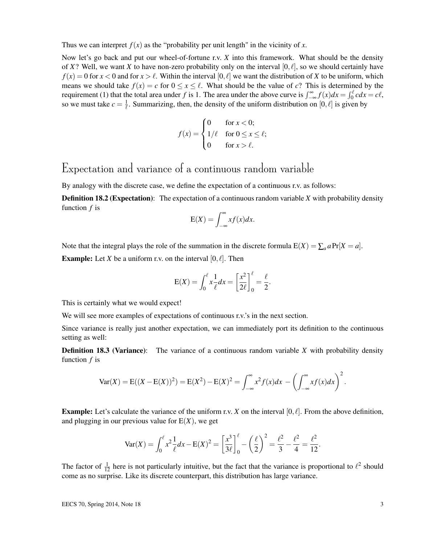Thus we can interpret  $f(x)$  as the "probability per unit length" in the vicinity of *x*.

Now let's go back and put our wheel-of-fortune r.v. *X* into this framework. What should be the density of *X*? Well, we want *X* to have non-zero probability only on the interval [0,  $\ell$ ], so we should certainly have  $f(x) = 0$  for  $x < 0$  and for  $x > \ell$ . Within the interval [0,  $\ell$ ] we want the distribution of *X* to be uniform, which means we should take  $f(x) = c$  for  $0 \le x \le \ell$ . What should be the value of *c*? This is determined by the requirement (1) that the total area under *f* is 1. The area under the above curve is  $\int_{-\infty}^{\infty} f(x)dx = \int_{0}^{\ell} cdx = c\ell$ , so we must take  $c = \frac{1}{\ell}$ . Summarizing, then, the density of the uniform distribution on  $[0, \ell]$  is given by

$$
f(x) = \begin{cases} 0 & \text{for } x < 0; \\ 1/\ell & \text{for } 0 \le x \le \ell; \\ 0 & \text{for } x > \ell. \end{cases}
$$

#### Expectation and variance of a continuous random variable

By analogy with the discrete case, we define the expectation of a continuous r.v. as follows:

**Definition 18.2 (Expectation):** The expectation of a continuous random variable X with probability density function *f* is

$$
E(X) = \int_{-\infty}^{\infty} x f(x) dx.
$$

Note that the integral plays the role of the summation in the discrete formula  $E(X) = \sum_a a Pr[X = a]$ .

**Example:** Let *X* be a uniform r.v. on the interval  $[0, \ell]$ . Then

$$
E(X) = \int_0^{\ell} x \frac{1}{\ell} dx = \left[ \frac{x^2}{2\ell} \right]_0^{\ell} = \frac{\ell}{2}.
$$

This is certainly what we would expect!

We will see more examples of expectations of continuous r.v.'s in the next section.

Since variance is really just another expectation, we can immediately port its definition to the continuous setting as well:

**Definition 18.3 (Variance):** The variance of a continuous random variable X with probability density function *f* is

$$
\text{Var}(X) = \text{E}((X - \text{E}(X))^2) = \text{E}(X^2) - \text{E}(X)^2 = \int_{-\infty}^{\infty} x^2 f(x) dx - \left(\int_{-\infty}^{\infty} x f(x) dx\right)^2.
$$

**Example:** Let's calculate the variance of the uniform r.v. *X* on the interval  $[0, \ell]$ . From the above definition, and plugging in our previous value for  $E(X)$ , we get

$$
\text{Var}(X) = \int_0^{\ell} x^2 \frac{1}{\ell} dx - \text{E}(X)^2 = \left[\frac{x^3}{3\ell}\right]_0^{\ell} - \left(\frac{\ell}{2}\right)^2 = \frac{\ell^2}{3} - \frac{\ell^2}{4} = \frac{\ell^2}{12}.
$$

The factor of  $\frac{1}{12}$  here is not particularly intuitive, but the fact that the variance is proportional to  $\ell^2$  should come as no surprise. Like its discrete counterpart, this distribution has large variance.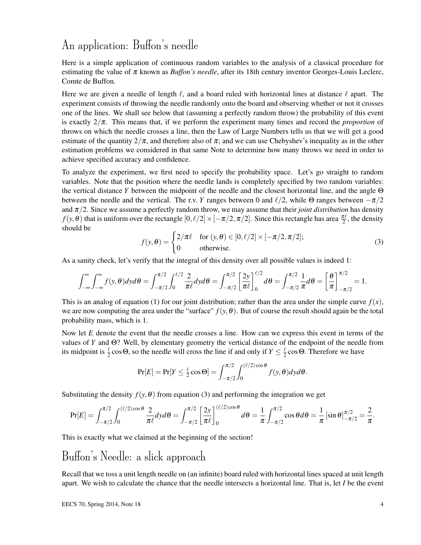## An application: Buffon's needle

Here is a simple application of continuous random variables to the analysis of a classical procedure for estimating the value of  $\pi$  known as *Buffon's needle*, after its 18th century inventor Georges-Louis Leclerc, Comte de Buffon.

Here we are given a needle of length  $\ell$ , and a board ruled with horizontal lines at distance  $\ell$  apart. The experiment consists of throwing the needle randomly onto the board and observing whether or not it crosses one of the lines. We shall see below that (assuming a perfectly random throw) the probability of this event is exactly 2/π. This means that, if we perform the experiment many times and record the *proportion* of throws on which the needle crosses a line, then the Law of Large Numbers tells us that we will get a good estimate of the quantity  $2/\pi$ , and therefore also of  $\pi$ ; and we can use Chebyshev's inequality as in the other estimation problems we considered in that same Note to determine how many throws we need in order to achieve specified accuracy and confidence.

To analyze the experiment, we first need to specify the probability space. Let's go straight to random variables. Note that the position where the needle lands is completely specified by two random variables: the vertical distance *Y* between the midpoint of the needle and the closest horizontal line, and the angle Θ between the needle and the vertical. The r.v. *Y* ranges between 0 and  $\ell/2$ , while Θ ranges between  $-\pi/2$ and  $\pi/2$ . Since we assume a perfectly random throw, we may assume that their *joint distribution* has density  $f(y, \theta)$  that is uniform over the rectangle  $[0, \ell/2] \times [-\pi/2, \pi/2]$ . Since this rectangle has area  $\frac{\pi \ell}{2}$ , the density should be

$$
f(y, \theta) = \begin{cases} 2/\pi \ell & \text{for } (y, \theta) \in [0, \ell/2] \times [-\pi/2, \pi/2]; \\ 0 & \text{otherwise.} \end{cases}
$$
 (3)

As a sanity check, let's verify that the integral of this density over all possible values is indeed 1:

$$
\int_{-\infty}^{\infty} \int_{-\infty}^{\infty} f(y, \theta) dy d\theta = \int_{-\pi/2}^{\pi/2} \int_{0}^{\ell/2} \frac{2}{\pi \ell} dy d\theta = \int_{-\pi/2}^{\pi/2} \left[ \frac{2y}{\pi \ell} \right]_{0}^{\ell/2} d\theta = \int_{-\pi/2}^{\pi/2} \frac{1}{\pi} d\theta = \left[ \frac{\theta}{\pi} \right]_{-\pi/2}^{\pi/2} = 1.
$$

This is an analog of equation (1) for our joint distribution; rather than the area under the simple curve  $f(x)$ , we are now computing the area under the "surface"  $f(y, \theta)$ . But of course the result should again be the total probability mass, which is 1.

Now let *E* denote the event that the needle crosses a line. How can we express this event in terms of the values of *Y* and Θ? Well, by elementary geometry the vertical distance of the endpoint of the needle from its midpoint is  $\frac{\ell}{2}$  cos  $\Theta$ , so the needle will cross the line if and only if  $Y \leq \frac{\ell}{2}$  $\frac{\ell}{2}$  cos  $\Theta$ . Therefore we have

$$
\Pr[E] = \Pr[Y \leq \frac{\ell}{2}\cos\Theta] = \int_{-\pi/2}^{\pi/2} \int_0^{(\ell/2)\cos\theta} f(y,\theta) dy d\theta.
$$

Substituting the density  $f(y, \theta)$  from equation (3) and performing the integration we get

$$
\Pr[E] = \int_{-\pi/2}^{\pi/2} \int_0^{(\ell/2)\cos\theta} \frac{2}{\pi \ell} dy d\theta = \int_{-\pi/2}^{\pi/2} \left[ \frac{2y}{\pi \ell} \right]_0^{(\ell/2)\cos\theta} d\theta = \frac{1}{\pi} \int_{-\pi/2}^{\pi/2} \cos\theta d\theta = \frac{1}{\pi} \left[ \sin\theta \right]_{-\pi/2}^{\pi/2} = \frac{2}{\pi}.
$$

This is exactly what we claimed at the beginning of the section!

# Buffon's Needle: a slick approach

Recall that we toss a unit length needle on (an infinite) board ruled with horizontal lines spaced at unit length apart. We wish to calculate the chance that the needle intersects a horizontal line. That is, let *I* be the event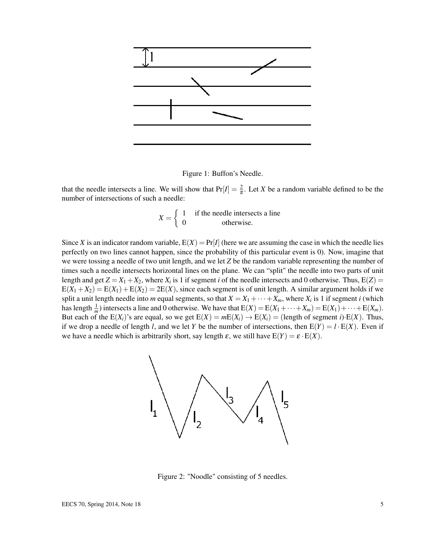

Figure 1: Buffon's Needle.

that the needle intersects a line. We will show that  $Pr[I] = \frac{2}{\pi}$ . Let *X* be a random variable defined to be the number of intersections of such a needle:

$$
X = \begin{cases} 1 & \text{if the needle intersects a line} \\ 0 & \text{otherwise.} \end{cases}
$$

Since *X* is an indicator random variable,  $E(X) = Pr[I]$  (here we are assuming the case in which the needle lies perfectly on two lines cannot happen, since the probability of this particular event is 0). Now, imagine that we were tossing a needle of two unit length, and we let *Z* be the random variable representing the number of times such a needle intersects horizontal lines on the plane. We can "split" the needle into two parts of unit length and get  $Z = X_1 + X_2$ , where  $X_i$  is 1 if segment *i* of the needle intersects and 0 otherwise. Thus,  $E(Z) =$  $E(X_1 + X_2) = E(X_1) + E(X_2) = 2E(X)$ , since each segment is of unit length. A similar argument holds if we split a unit length needle into *m* equal segments, so that  $X = X_1 + \cdots + X_m$ , where  $X_i$  is 1 if segment *i* (which has length  $\frac{1}{m}$ ) intersects a line and 0 otherwise. We have that  $E(X) = E(X_1 + \cdots + X_m) = E(X_1) + \cdots + E(X_m)$ . But each of the  $E(X_i)$ 's are equal, so we get  $E(X) = mE(X_i) \rightarrow E(X_i) =$  (length of segment *i*) $E(X)$ . Thus, if we drop a needle of length *l*, and we let *Y* be the number of intersections, then  $E(Y) = l \cdot E(X)$ . Even if we have a needle which is arbitrarily short, say length  $\varepsilon$ , we still have  $E(Y) = \varepsilon \cdot E(X)$ .



Figure 2: "Noodle" consisting of 5 needles.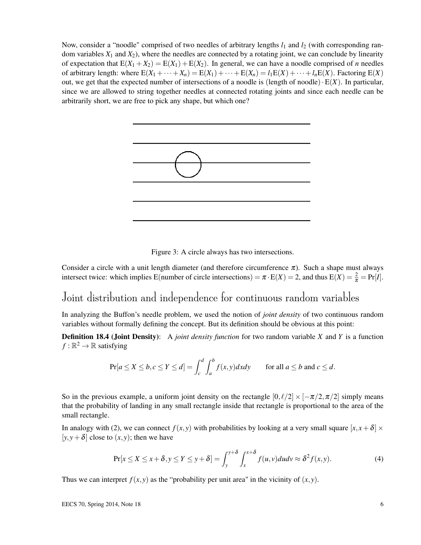Now, consider a "noodle" comprised of two needles of arbitrary lengths  $l_1$  and  $l_2$  (with corresponding random variables  $X_1$  and  $X_2$ ), where the needles are connected by a rotating joint, we can conclude by linearity of expectation that  $E(X_1 + X_2) = E(X_1) + E(X_2)$ . In general, we can have a noodle comprised of *n* needles of arbitrary length: where  $E(X_1 + \cdots + X_n) = E(X_1) + \cdots + E(X_n) = l_1E(X) + \cdots + l_nE(X)$ . Factoring  $E(X)$ out, we get that the expected number of intersections of a noodle is (length of noodle) $\cdot E(X)$ . In particular, since we are allowed to string together needles at connected rotating joints and since each needle can be arbitrarily short, we are free to pick any shape, but which one?



Figure 3: A circle always has two intersections.

Consider a circle with a unit length diameter (and therefore circumference  $\pi$ ). Such a shape must always intersect twice: which implies E(number of circle intersections) =  $\pi \cdot E(X) = 2$ , and thus  $E(X) = \frac{2}{\pi} = Pr[I]$ .

### Joint distribution and independence for continuous random variables

In analyzing the Buffon's needle problem, we used the notion of *joint density* of two continuous random variables without formally defining the concept. But its definition should be obvious at this point:

Definition 18.4 (Joint Density): A *joint density function* for two random variable *X* and *Y* is a function  $f : \mathbb{R}^2 \to \mathbb{R}$  satisfying

$$
\Pr[a \le X \le b, c \le Y \le d] = \int_{c}^{d} \int_{a}^{b} f(x, y) dx dy \quad \text{for all } a \le b \text{ and } c \le d.
$$

So in the previous example, a uniform joint density on the rectangle  $[0, \ell/2] \times [-\pi/2, \pi/2]$  simply means that the probability of landing in any small rectangle inside that rectangle is proportional to the area of the small rectangle.

In analogy with (2), we can connect  $f(x, y)$  with probabilities by looking at a very small square  $[x, x + \delta] \times$ [ $y, y + \delta$ ] close to  $(x, y)$ ; then we have

$$
\Pr[x \le X \le x + \delta, y \le Y \le y + \delta] = \int_{y}^{y + \delta} \int_{x}^{x + \delta} f(u, v) du dv \approx \delta^{2} f(x, y). \tag{4}
$$

Thus we can interpret  $f(x, y)$  as the "probability per unit area" in the vicinity of  $(x, y)$ .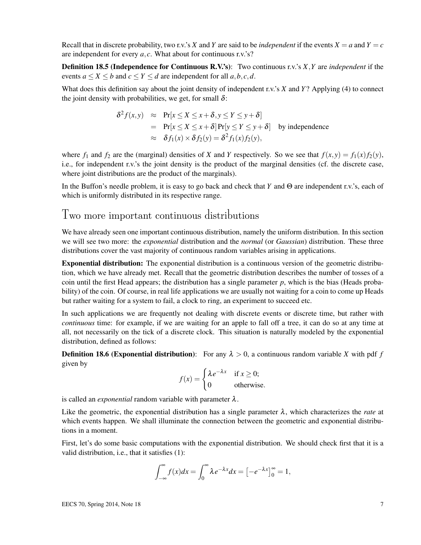Recall that in discrete probability, two r.v.'s X and Y are said to be *independent* if the events  $X = a$  and  $Y = c$ are independent for every *a*, *c*. What about for continuous r.v.'s?

Definition 18.5 (Independence for Continuous R.V.'s): Two continuous r.v.'s *X*,*Y* are *independent* if the events  $a \le X \le b$  and  $c \le Y \le d$  are independent for all  $a, b, c, d$ .

What does this definition say about the joint density of independent r.v.'s *X* and *Y*? Applying (4) to connect the joint density with probabilities, we get, for small  $\delta$ :

$$
\delta^2 f(x, y) \approx \Pr[x \le X \le x + \delta, y \le Y \le y + \delta]
$$
  
=  $\Pr[x \le X \le x + \delta] \Pr[y \le Y \le y + \delta]$  by independence  

$$
\approx \delta f_1(x) \times \delta f_2(y) = \delta^2 f_1(x) f_2(y),
$$

where  $f_1$  and  $f_2$  are the (marginal) densities of *X* and *Y* respectively. So we see that  $f(x, y) = f_1(x) f_2(y)$ , i.e., for independent r.v.'s the joint density is the product of the marginal densities (cf. the discrete case, where joint distributions are the product of the marginals).

In the Buffon's needle problem, it is easy to go back and check that *Y* and Θ are independent r.v.'s, each of which is uniformly distributed in its respective range.

#### Two more important continuous distributions

We have already seen one important continuous distribution, namely the uniform distribution. In this section we will see two more: the *exponential* distribution and the *normal* (or *Gaussian*) distribution. These three distributions cover the vast majority of continuous random variables arising in applications.

Exponential distribution: The exponential distribution is a continuous version of the geometric distribution, which we have already met. Recall that the geometric distribution describes the number of tosses of a coin until the first Head appears; the distribution has a single parameter  $p$ , which is the bias (Heads probability) of the coin. Of course, in real life applications we are usually not waiting for a coin to come up Heads but rather waiting for a system to fail, a clock to ring, an experiment to succeed etc.

In such applications we are frequently not dealing with discrete events or discrete time, but rather with *continuous* time: for example, if we are waiting for an apple to fall off a tree, it can do so at any time at all, not necessarily on the tick of a discrete clock. This situation is naturally modeled by the exponential distribution, defined as follows:

**Definition 18.6 (Exponential distribution):** For any  $\lambda > 0$ , a continuous random variable *X* with pdf *f* given by

$$
f(x) = \begin{cases} \lambda e^{-\lambda x} & \text{if } x \ge 0; \\ 0 & \text{otherwise.} \end{cases}
$$

is called an *exponential* random variable with parameter  $\lambda$ .

Like the geometric, the exponential distribution has a single parameter  $\lambda$ , which characterizes the *rate* at which events happen. We shall illuminate the connection between the geometric and exponential distributions in a moment.

First, let's do some basic computations with the exponential distribution. We should check first that it is a valid distribution, i.e., that it satisfies (1):

$$
\int_{-\infty}^{\infty} f(x)dx = \int_{0}^{\infty} \lambda e^{-\lambda x}dx = \left[-e^{-\lambda x}\right]_{0}^{\infty} = 1,
$$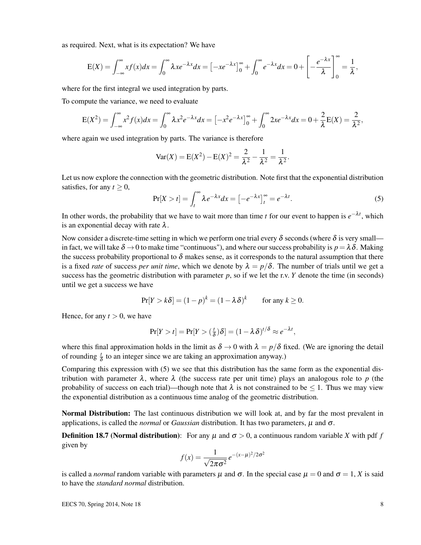as required. Next, what is its expectation? We have

$$
E(X) = \int_{-\infty}^{\infty} x f(x) dx = \int_{0}^{\infty} \lambda x e^{-\lambda x} dx = \left[ -x e^{-\lambda x} \right]_{0}^{\infty} + \int_{0}^{\infty} e^{-\lambda x} dx = 0 + \left[ -\frac{e^{-\lambda x}}{\lambda} \right]_{0}^{\infty} = \frac{1}{\lambda},
$$

where for the first integral we used integration by parts.

To compute the variance, we need to evaluate

$$
E(X^{2}) = \int_{-\infty}^{\infty} x^{2} f(x) dx = \int_{0}^{\infty} \lambda x^{2} e^{-\lambda x} dx = \left[ -x^{2} e^{-\lambda x} \right]_{0}^{\infty} + \int_{0}^{\infty} 2x e^{-\lambda x} dx = 0 + \frac{2}{\lambda} E(X) = \frac{2}{\lambda^{2}},
$$

where again we used integration by parts. The variance is therefore

$$
Var(X) = E(X^{2}) - E(X)^{2} = \frac{2}{\lambda^{2}} - \frac{1}{\lambda^{2}} = \frac{1}{\lambda^{2}}.
$$

Let us now explore the connection with the geometric distribution. Note first that the exponential distribution satisfies, for any  $t > 0$ ,

$$
\Pr[X > t] = \int_{t}^{\infty} \lambda e^{-\lambda x} dx = \left[ -e^{-\lambda x} \right]_{t}^{\infty} = e^{-\lambda t}.
$$
 (5)

In other words, the probability that we have to wait more than time *t* for our event to happen is  $e^{-\lambda t}$ , which is an exponential decay with rate  $\lambda$ .

Now consider a discrete-time setting in which we perform one trial every  $\delta$  seconds (where  $\delta$  is very small in fact, we will take  $\delta \to 0$  to make time "continuous"), and where our success probability is  $p = \lambda \delta$ . Making the success probability proportional to  $\delta$  makes sense, as it corresponds to the natural assumption that there is a fixed *rate* of success *per unit time*, which we denote by  $\lambda = p/\delta$ . The number of trials until we get a success has the geometric distribution with parameter  $p$ , so if we let the r.v.  $Y$  denote the time (in seconds) until we get a success we have

$$
Pr[Y > k\delta] = (1 - p)^k = (1 - \lambda \delta)^k \quad \text{for any } k \ge 0.
$$

Hence, for any  $t > 0$ , we have

$$
\Pr[Y > t] = \Pr[Y > (\frac{t}{\delta})\delta] = (1 - \lambda \delta)^{t/\delta} \approx e^{-\lambda t},
$$

where this final approximation holds in the limit as  $\delta \to 0$  with  $\lambda = p/\delta$  fixed. (We are ignoring the detail of rounding  $\frac{t}{\delta}$  to an integer since we are taking an approximation anyway.)

Comparing this expression with (5) we see that this distribution has the same form as the exponential distribution with parameter  $\lambda$ , where  $\lambda$  (the success rate per unit time) plays an analogous role to p (the probability of success on each trial)—though note that  $\lambda$  is not constrained to be  $\leq 1$ . Thus we may view the exponential distribution as a continuous time analog of the geometric distribution.

Normal Distribution: The last continuous distribution we will look at, and by far the most prevalent in applications, is called the *normal* or *Gaussian* distribution. It has two parameters,  $\mu$  and  $\sigma$ .

**Definition 18.7 (Normal distribution):** For any  $\mu$  and  $\sigma > 0$ , a continuous random variable *X* with pdf *f* given by

$$
f(x) = \frac{1}{\sqrt{2\pi\sigma^2}} e^{-(x-\mu)^2/2\sigma^2}
$$

is called a *normal* random variable with parameters  $\mu$  and  $\sigma$ . In the special case  $\mu = 0$  and  $\sigma = 1$ , *X* is said to have the *standard normal* distribution.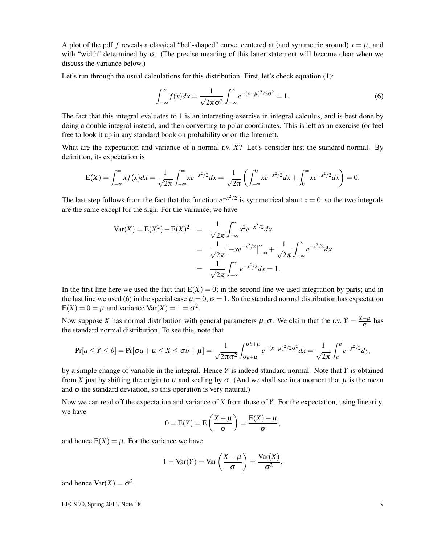A plot of the pdf *f* reveals a classical "bell-shaped" curve, centered at (and symmetric around)  $x = \mu$ , and with "width" determined by  $\sigma$ . (The precise meaning of this latter statement will become clear when we discuss the variance below.)

Let's run through the usual calculations for this distribution. First, let's check equation (1):

$$
\int_{-\infty}^{\infty} f(x)dx = \frac{1}{\sqrt{2\pi\sigma^2}} \int_{-\infty}^{\infty} e^{-(x-\mu)^2/2\sigma^2} = 1.
$$
 (6)

The fact that this integral evaluates to 1 is an interesting exercise in integral calculus, and is best done by doing a double integral instead, and then converting to polar coordinates. This is left as an exercise (or feel free to look it up in any standard book on probability or on the Internet).

What are the expectation and variance of a normal r.v. *X*? Let's consider first the standard normal. By definition, its expectation is

$$
E(X) = \int_{-\infty}^{\infty} x f(x) dx = \frac{1}{\sqrt{2\pi}} \int_{-\infty}^{\infty} x e^{-x^2/2} dx = \frac{1}{\sqrt{2\pi}} \left( \int_{-\infty}^{0} x e^{-x^2/2} dx + \int_{0}^{\infty} x e^{-x^2/2} dx \right) = 0.
$$

The last step follows from the fact that the function  $e^{-x^2/2}$  is symmetrical about  $x = 0$ , so the two integrals are the same except for the sign. For the variance, we have

$$
\begin{array}{rcl}\n\text{Var}(X) & = \mathcal{E}(X^2) - \mathcal{E}(X)^2 & = & \frac{1}{\sqrt{2\pi}} \int_{-\infty}^{\infty} x^2 e^{-x^2/2} dx \\
& = & \frac{1}{\sqrt{2\pi}} \left[ -xe^{-x^2/2} \right]_{-\infty}^{\infty} + \frac{1}{\sqrt{2\pi}} \int_{-\infty}^{\infty} e^{-x^2/2} dx \\
& = & \frac{1}{\sqrt{2\pi}} \int_{-\infty}^{\infty} e^{-x^2/2} dx = 1.\n\end{array}
$$

In the first line here we used the fact that  $E(X) = 0$ ; in the second line we used integration by parts; and in the last line we used (6) in the special case  $\mu = 0$ ,  $\sigma = 1$ . So the standard normal distribution has expectation  $E(X) = 0 = \mu$  and variance  $Var(X) = 1 = \sigma^2$ .

Now suppose *X* has normal distribution with general parameters  $\mu$ ,  $\sigma$ . We claim that the r.v.  $Y = \frac{X-\mu}{\sigma}$  $\frac{-\mu}{\sigma}$  has the standard normal distribution. To see this, note that

$$
\Pr[a \le Y \le b] = \Pr[\sigma a + \mu \le X \le \sigma b + \mu] = \frac{1}{\sqrt{2\pi\sigma^2}} \int_{\sigma a + \mu}^{\sigma b + \mu} e^{-(x-\mu)^2/2\sigma^2} dx = \frac{1}{\sqrt{2\pi}} \int_a^b e^{-y^2/2} dy,
$$

by a simple change of variable in the integral. Hence *Y* is indeed standard normal. Note that *Y* is obtained from X just by shifting the origin to  $\mu$  and scaling by  $\sigma$ . (And we shall see in a moment that  $\mu$  is the mean and  $\sigma$  the standard deviation, so this operation is very natural.)

Now we can read off the expectation and variance of *X* from those of *Y*. For the expectation, using linearity, we have

$$
0 = E(Y) = E\left(\frac{X-\mu}{\sigma}\right) = \frac{E(X) - \mu}{\sigma},
$$

and hence  $E(X) = \mu$ . For the variance we have

$$
1 = \text{Var}(Y) = \text{Var}\left(\frac{X - \mu}{\sigma}\right) = \frac{\text{Var}(X)}{\sigma^2},
$$

and hence  $\text{Var}(X) = \sigma^2$ .

EECS 70, Spring 2014, Note 18  $\qquad \qquad$  9